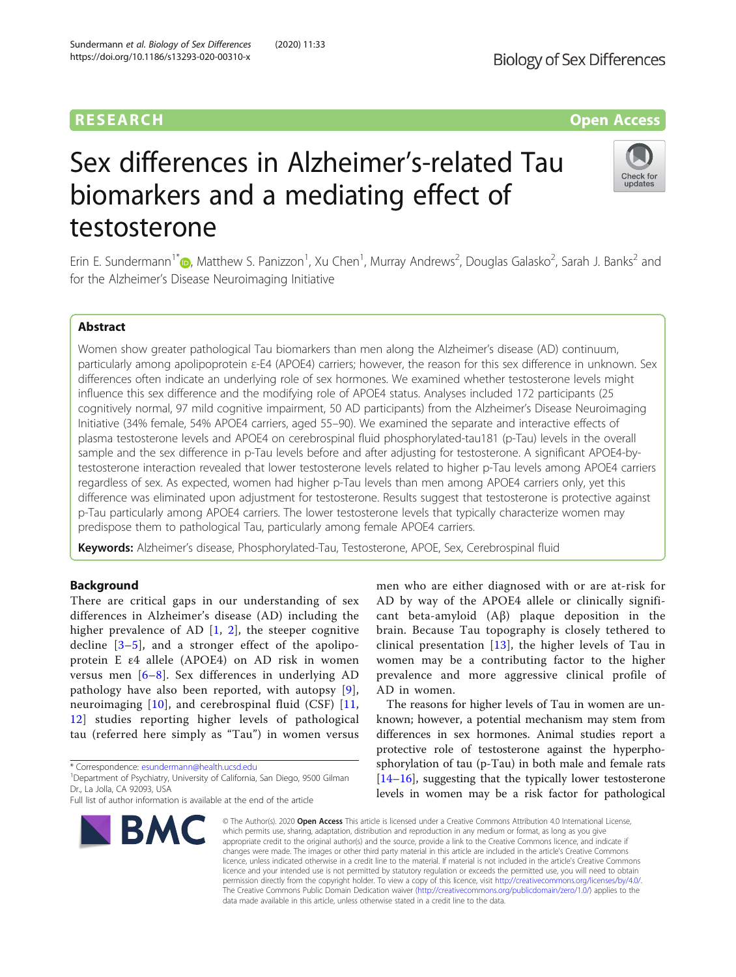# Sex differences in Alzheimer's-related Tau biomarkers and a mediating effect of testosterone

Erin E. Sundermann<sup>1\*</sup>®, Matthew S. Panizzon<sup>1</sup>, Xu Chen<sup>1</sup>, Murray Andrews<sup>2</sup>, Douglas Galasko<sup>2</sup>, Sarah J. Banks<sup>2</sup> and for the Alzheimer's Disease Neuroimaging Initiative

# Abstract

Women show greater pathological Tau biomarkers than men along the Alzheimer's disease (AD) continuum, particularly among apolipoprotein ε-E4 (APOE4) carriers; however, the reason for this sex difference in unknown. Sex differences often indicate an underlying role of sex hormones. We examined whether testosterone levels might influence this sex difference and the modifying role of APOE4 status. Analyses included 172 participants (25 cognitively normal, 97 mild cognitive impairment, 50 AD participants) from the Alzheimer's Disease Neuroimaging Initiative (34% female, 54% APOE4 carriers, aged 55–90). We examined the separate and interactive effects of plasma testosterone levels and APOE4 on cerebrospinal fluid phosphorylated-tau181 (p-Tau) levels in the overall sample and the sex difference in p-Tau levels before and after adjusting for testosterone. A significant APOE4-bytestosterone interaction revealed that lower testosterone levels related to higher p-Tau levels among APOE4 carriers regardless of sex. As expected, women had higher p-Tau levels than men among APOE4 carriers only, yet this difference was eliminated upon adjustment for testosterone. Results suggest that testosterone is protective against p-Tau particularly among APOE4 carriers. The lower testosterone levels that typically characterize women may predispose them to pathological Tau, particularly among female APOE4 carriers.

Keywords: Alzheimer's disease, Phosphorylated-Tau, Testosterone, APOE, Sex, Cerebrospinal fluid

# Background

There are critical gaps in our understanding of sex differences in Alzheimer's disease (AD) including the higher prevalence of AD  $[1, 2]$  $[1, 2]$  $[1, 2]$  $[1, 2]$ , the steeper cognitive decline [[3](#page-8-0)–[5\]](#page-8-0), and a stronger effect of the apolipoprotein E ε4 allele (APOE4) on AD risk in women versus men [[6](#page-8-0)–[8](#page-8-0)]. Sex differences in underlying AD pathology have also been reported, with autopsy [[9](#page-8-0)], neuroimaging [[10\]](#page-8-0), and cerebrospinal fluid (CSF) [\[11](#page-8-0), [12\]](#page-8-0) studies reporting higher levels of pathological tau (referred here simply as "Tau") in women versus

\* Correspondence: [esundermann@health.ucsd.edu](mailto:esundermann@health.ucsd.edu) <sup>1</sup>

**BMC** 

<sup>1</sup>Department of Psychiatry, University of California, San Diego, 9500 Gilman Dr., La Jolla, CA 92093, USA

men who are either diagnosed with or are at-risk for AD by way of the APOE4 allele or clinically significant beta-amyloid (Aβ) plaque deposition in the brain. Because Tau topography is closely tethered to clinical presentation [[13](#page-8-0)], the higher levels of Tau in women may be a contributing factor to the higher prevalence and more aggressive clinical profile of AD in women.

known; however, a potential mechanism may stem from differences in sex hormones. Animal studies report a protective role of testosterone against the hyperphosphorylation of tau (p-Tau) in both male and female rats [[14](#page-8-0)–[16](#page-8-0)], suggesting that the typically lower testosterone levels in women may be a risk factor for pathological

© The Author(s), 2020 **Open Access** This article is licensed under a Creative Commons Attribution 4.0 International License, which permits use, sharing, adaptation, distribution and reproduction in any medium or format, as long as you give appropriate credit to the original author(s) and the source, provide a link to the Creative Commons licence, and indicate if changes were made. The images or other third party material in this article are included in the article's Creative Commons licence, unless indicated otherwise in a credit line to the material. If material is not included in the article's Creative Commons licence and your intended use is not permitted by statutory regulation or exceeds the permitted use, you will need to obtain permission directly from the copyright holder. To view a copy of this licence, visit [http://creativecommons.org/licenses/by/4.0/.](http://creativecommons.org/licenses/by/4.0/) The Creative Commons Public Domain Dedication waiver [\(http://creativecommons.org/publicdomain/zero/1.0/](http://creativecommons.org/publicdomain/zero/1.0/)) applies to the data made available in this article, unless otherwise stated in a credit line to the data.

**Biology of Sex Differences** 





Full list of author information is available at the end of the article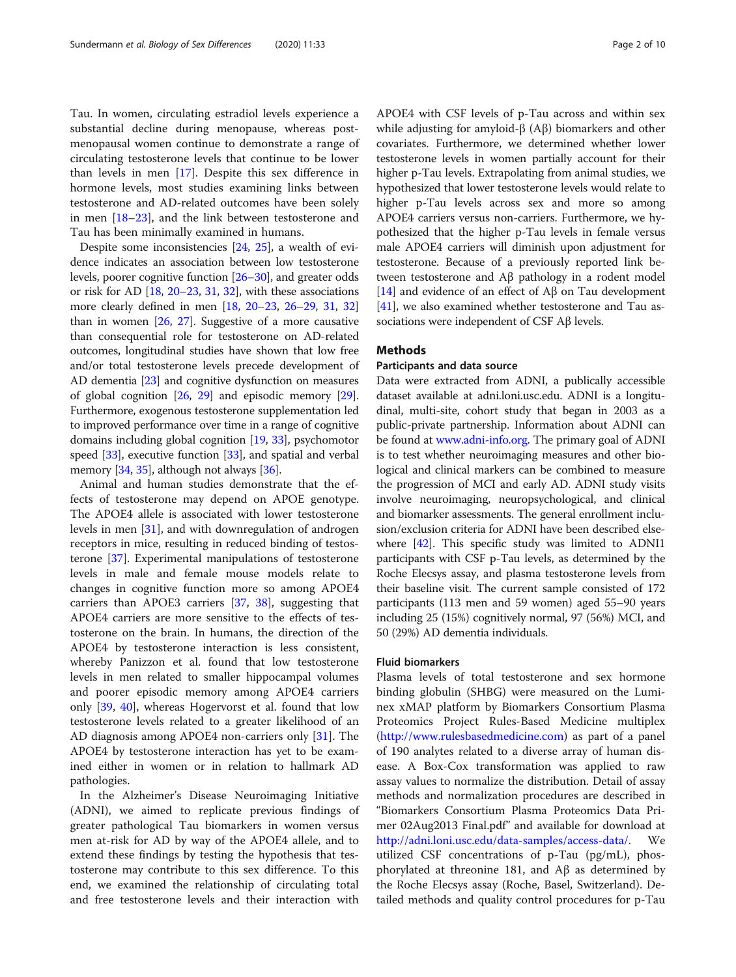Tau. In women, circulating estradiol levels experience a substantial decline during menopause, whereas postmenopausal women continue to demonstrate a range of circulating testosterone levels that continue to be lower than levels in men [\[17\]](#page-8-0). Despite this sex difference in hormone levels, most studies examining links between testosterone and AD-related outcomes have been solely in men [[18](#page-8-0)–[23](#page-8-0)], and the link between testosterone and Tau has been minimally examined in humans.

Despite some inconsistencies [[24](#page-8-0), [25](#page-8-0)], a wealth of evidence indicates an association between low testosterone levels, poorer cognitive function [[26](#page-8-0)–[30\]](#page-8-0), and greater odds or risk for AD [[18](#page-8-0), [20](#page-8-0)–[23,](#page-8-0) [31,](#page-8-0) [32](#page-8-0)], with these associations more clearly defined in men [[18,](#page-8-0) [20](#page-8-0)–[23,](#page-8-0) [26](#page-8-0)–[29](#page-8-0), [31](#page-8-0), [32](#page-8-0)] than in women [[26](#page-8-0), [27](#page-8-0)]. Suggestive of a more causative than consequential role for testosterone on AD-related outcomes, longitudinal studies have shown that low free and/or total testosterone levels precede development of AD dementia [\[23\]](#page-8-0) and cognitive dysfunction on measures of global cognition [\[26](#page-8-0), [29\]](#page-8-0) and episodic memory [[29](#page-8-0)]. Furthermore, exogenous testosterone supplementation led to improved performance over time in a range of cognitive domains including global cognition [\[19,](#page-8-0) [33\]](#page-8-0), psychomotor speed [[33](#page-8-0)], executive function [[33](#page-8-0)], and spatial and verbal memory [[34](#page-8-0), [35\]](#page-8-0), although not always [\[36\]](#page-9-0).

Animal and human studies demonstrate that the effects of testosterone may depend on APOE genotype. The APOE4 allele is associated with lower testosterone levels in men [\[31\]](#page-8-0), and with downregulation of androgen receptors in mice, resulting in reduced binding of testosterone [[37\]](#page-9-0). Experimental manipulations of testosterone levels in male and female mouse models relate to changes in cognitive function more so among APOE4 carriers than APOE3 carriers [[37,](#page-9-0) [38\]](#page-9-0), suggesting that APOE4 carriers are more sensitive to the effects of testosterone on the brain. In humans, the direction of the APOE4 by testosterone interaction is less consistent, whereby Panizzon et al. found that low testosterone levels in men related to smaller hippocampal volumes and poorer episodic memory among APOE4 carriers only [\[39](#page-9-0), [40](#page-9-0)], whereas Hogervorst et al. found that low testosterone levels related to a greater likelihood of an AD diagnosis among APOE4 non-carriers only [\[31\]](#page-8-0). The APOE4 by testosterone interaction has yet to be examined either in women or in relation to hallmark AD pathologies.

In the Alzheimer's Disease Neuroimaging Initiative (ADNI), we aimed to replicate previous findings of greater pathological Tau biomarkers in women versus men at-risk for AD by way of the APOE4 allele, and to extend these findings by testing the hypothesis that testosterone may contribute to this sex difference. To this end, we examined the relationship of circulating total and free testosterone levels and their interaction with APOE4 with CSF levels of p-Tau across and within sex while adjusting for amyloid-β (Aβ) biomarkers and other covariates. Furthermore, we determined whether lower testosterone levels in women partially account for their higher p-Tau levels. Extrapolating from animal studies, we hypothesized that lower testosterone levels would relate to higher p-Tau levels across sex and more so among APOE4 carriers versus non-carriers. Furthermore, we hypothesized that the higher p-Tau levels in female versus male APOE4 carriers will diminish upon adjustment for testosterone. Because of a previously reported link between testosterone and Aβ pathology in a rodent model [[14](#page-8-0)] and evidence of an effect of  $\mathbf{A}\beta$  on Tau development [[41](#page-9-0)], we also examined whether testosterone and Tau associations were independent of CSF Aβ levels.

# Methods

## Participants and data source

Data were extracted from ADNI, a publically accessible dataset available at adni.loni.usc.edu. ADNI is a longitudinal, multi-site, cohort study that began in 2003 as a public-private partnership. Information about ADNI can be found at [www.adni-info.org.](http://www.adni-info.org) The primary goal of ADNI is to test whether neuroimaging measures and other biological and clinical markers can be combined to measure the progression of MCI and early AD. ADNI study visits involve neuroimaging, neuropsychological, and clinical and biomarker assessments. The general enrollment inclusion/exclusion criteria for ADNI have been described elsewhere [\[42\]](#page-9-0). This specific study was limited to ADNI1 participants with CSF p-Tau levels, as determined by the Roche Elecsys assay, and plasma testosterone levels from their baseline visit. The current sample consisted of 172 participants (113 men and 59 women) aged 55–90 years including 25 (15%) cognitively normal, 97 (56%) MCI, and 50 (29%) AD dementia individuals.

# Fluid biomarkers

Plasma levels of total testosterone and sex hormone binding globulin (SHBG) were measured on the Luminex xMAP platform by Biomarkers Consortium Plasma Proteomics Project Rules-Based Medicine multiplex (<http://www.rulesbasedmedicine.com>) as part of a panel of 190 analytes related to a diverse array of human disease. A Box-Cox transformation was applied to raw assay values to normalize the distribution. Detail of assay methods and normalization procedures are described in "Biomarkers Consortium Plasma Proteomics Data Primer 02Aug2013 Final.pdf" and available for download at [http://adni.loni.usc.edu/data-samples/access-data/.](http://adni.loni.usc.edu/data-samples/access-data/) We utilized CSF concentrations of p-Tau (pg/mL), phosphorylated at threonine 181, and Aβ as determined by the Roche Elecsys assay (Roche, Basel, Switzerland). Detailed methods and quality control procedures for p-Tau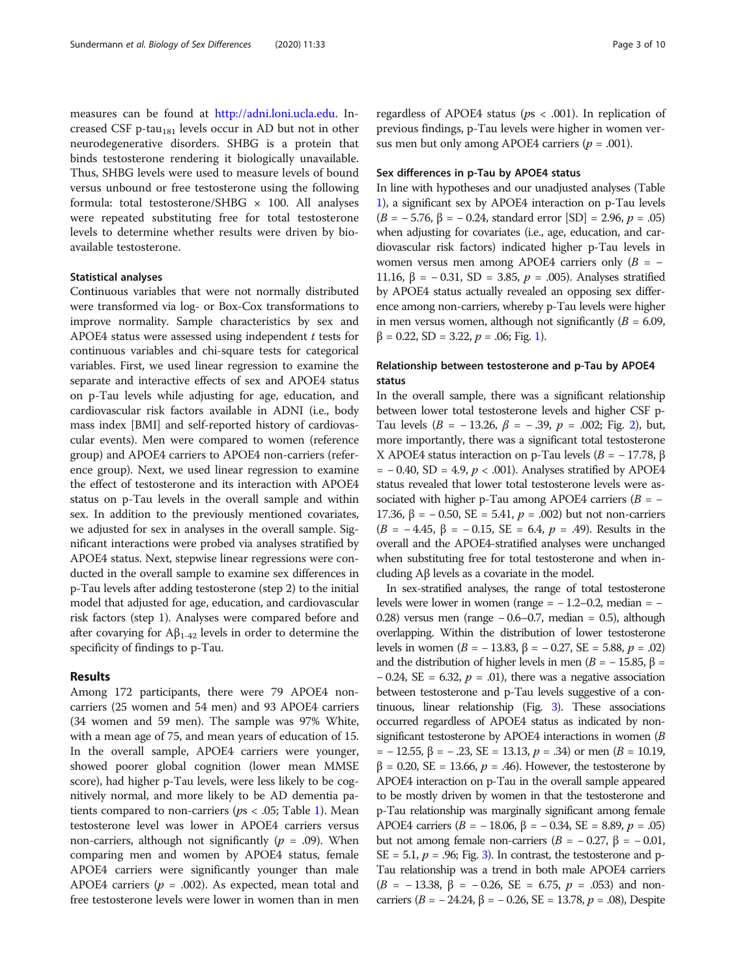measures can be found at <http://adni.loni.ucla.edu>. Increased CSF p-tau<sub>181</sub> levels occur in AD but not in other neurodegenerative disorders. SHBG is a protein that binds testosterone rendering it biologically unavailable. Thus, SHBG levels were used to measure levels of bound versus unbound or free testosterone using the following formula: total testosterone/SHBG  $\times$  100. All analyses were repeated substituting free for total testosterone levels to determine whether results were driven by bioavailable testosterone.

## Statistical analyses

Continuous variables that were not normally distributed were transformed via log- or Box-Cox transformations to improve normality. Sample characteristics by sex and APOE4 status were assessed using independent  $t$  tests for continuous variables and chi-square tests for categorical variables. First, we used linear regression to examine the separate and interactive effects of sex and APOE4 status on p-Tau levels while adjusting for age, education, and cardiovascular risk factors available in ADNI (i.e., body mass index [BMI] and self-reported history of cardiovascular events). Men were compared to women (reference group) and APOE4 carriers to APOE4 non-carriers (reference group). Next, we used linear regression to examine the effect of testosterone and its interaction with APOE4 status on p-Tau levels in the overall sample and within sex. In addition to the previously mentioned covariates, we adjusted for sex in analyses in the overall sample. Significant interactions were probed via analyses stratified by APOE4 status. Next, stepwise linear regressions were conducted in the overall sample to examine sex differences in p-Tau levels after adding testosterone (step 2) to the initial model that adjusted for age, education, and cardiovascular risk factors (step 1). Analyses were compared before and after covarying for  $A\beta_{1-42}$  levels in order to determine the specificity of findings to p-Tau.

#### Results

Among 172 participants, there were 79 APOE4 noncarriers (25 women and 54 men) and 93 APOE4 carriers (34 women and 59 men). The sample was 97% White, with a mean age of 75, and mean years of education of 15. In the overall sample, APOE4 carriers were younger, showed poorer global cognition (lower mean MMSE score), had higher p-Tau levels, were less likely to be cognitively normal, and more likely to be AD dementia patients compared to non-carriers ( $ps < .05$ ; Table [1](#page-3-0)). Mean testosterone level was lower in APOE4 carriers versus non-carriers, although not significantly ( $p = .09$ ). When comparing men and women by APOE4 status, female APOE4 carriers were significantly younger than male APOE4 carriers ( $p = .002$ ). As expected, mean total and free testosterone levels were lower in women than in men

regardless of APOE4 status ( $ps < .001$ ). In replication of previous findings, p-Tau levels were higher in women versus men but only among APOE4 carriers ( $p = .001$ ).

## Sex differences in p-Tau by APOE4 status

In line with hypotheses and our unadjusted analyses (Table [1](#page-3-0)), a significant sex by APOE4 interaction on p-Tau levels (B = − 5.76, β = − 0.24, standard error [SD] = 2.96, p = .05) when adjusting for covariates (i.e., age, education, and cardiovascular risk factors) indicated higher p-Tau levels in women versus men among APOE4 carriers only  $(B = -$ 11.16, β = -0.31, SD = 3.85,  $p = .005$ ). Analyses stratified by APOE4 status actually revealed an opposing sex difference among non-carriers, whereby p-Tau levels were higher in men versus women, although not significantly  $(B = 6.09)$ ,  $β = 0.22$ , SD = 3.22,  $p = .06$ ; Fig. [1](#page-4-0)).

# Relationship between testosterone and p-Tau by APOE4 status

In the overall sample, there was a significant relationship between lower total testosterone levels and higher CSF p-Tau levels  $(B = -13.26, \beta = -.39, p = .002; Fig. 2)$  $(B = -13.26, \beta = -.39, p = .002; Fig. 2)$  $(B = -13.26, \beta = -.39, p = .002; Fig. 2)$ , but, more importantly, there was a significant total testosterone X APOE4 status interaction on p-Tau levels ( $B = -17.78$ , β  $= -0.40$ , SD = 4.9,  $p < .001$ ). Analyses stratified by APOE4 status revealed that lower total testosterone levels were associated with higher p-Tau among APOE4 carriers ( $B = -$ 17.36, β = -0.50, SE = 5.41,  $p = .002$ ) but not non-carriers  $(B = -4.45, \beta = -0.15, SE = 6.4, p = .49)$ . Results in the overall and the APOE4-stratified analyses were unchanged when substituting free for total testosterone and when including Aβ levels as a covariate in the model.

In sex-stratified analyses, the range of total testosterone levels were lower in women (range =  $-1.2-0.2$ , median =  $-$ 0.28) versus men (range − 0.6–0.7, median = 0.5), although overlapping. Within the distribution of lower testosterone levels in women (*B* = −13.83, β = −0.27, *SE* = 5.88, *p* = .02) and the distribution of higher levels in men ( $B = -15.85$ ,  $\beta =$  $-0.24$ , SE = 6.32,  $p = .01$ ), there was a negative association between testosterone and p-Tau levels suggestive of a continuous, linear relationship (Fig. [3](#page-6-0)). These associations occurred regardless of APOE4 status as indicated by nonsignificant testosterone by APOE4 interactions in women (B  $= -12.55, \beta = -.23, SE = 13.13, p = .34$  or men  $(B = 10.19,$  $β = 0.20$ , SE = 13.66,  $p = .46$ ). However, the testosterone by APOE4 interaction on p-Tau in the overall sample appeared to be mostly driven by women in that the testosterone and p-Tau relationship was marginally significant among female APOE4 carriers ( $B = -18.06$ ,  $β = -0.34$ , SE = 8.89,  $p = .05$ ) but not among female non-carriers ( $B = -0.27$ , β = -0.01,  $SE = 5.1, p = .96; Fig. 3$ . In contrast, the testosterone and p-Tau relationship was a trend in both male APOE4 carriers  $(B = -13.38, \beta = -0.26, SE = 6.75, p = .053)$  and noncarriers (*B* = − 24.24, β = − 0.26, SE = 13.78, *p* = .08), Despite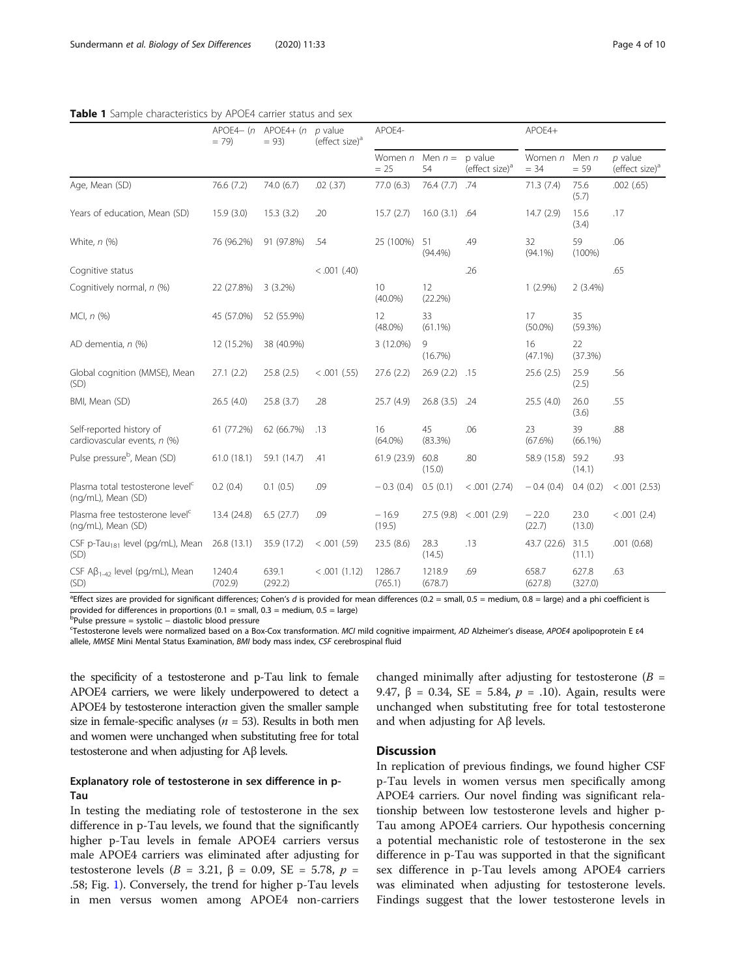|                                                                    | APOE4- $(n$ APOE4+ $(n)$<br>$= 79$ | $= 93$           | $p$ value<br>(effect size) <sup>a</sup> | APOE4-                        |                          |                                       | APOE4+            |                   |                                         |
|--------------------------------------------------------------------|------------------------------------|------------------|-----------------------------------------|-------------------------------|--------------------------|---------------------------------------|-------------------|-------------------|-----------------------------------------|
|                                                                    |                                    |                  |                                         | Women n<br>$= 25$             | Men $n =$<br>54          | p value<br>(effect size) <sup>a</sup> | Women n<br>$= 34$ | Men $n$<br>$= 59$ | $p$ value<br>(effect size) <sup>a</sup> |
| Age, Mean (SD)                                                     | 76.6 (7.2)                         | 74.0 (6.7)       | .02(.37)                                | 77.0 (6.3)                    | 76.4(7.7)                | .74                                   | 71.3(7.4)         | 75.6<br>(5.7)     | .002(.65)                               |
| Years of education, Mean (SD)                                      | 15.9(3.0)                          | 15.3(3.2)        | .20                                     | 15.7(2.7)                     | 16.0 (3.1) .64           |                                       | 14.7(2.9)         | 15.6<br>(3.4)     | .17                                     |
| White, $n$ (%)                                                     | 76 (96.2%)                         | 91 (97.8%)       | .54                                     | 25 (100%)                     | 51<br>$(94.4\%)$         | .49                                   | 32<br>$(94.1\%)$  | 59<br>$(100\%)$   | .06                                     |
| Cognitive status                                                   |                                    |                  | < .001 (.40)                            |                               |                          | .26                                   |                   |                   | .65                                     |
| Cognitively normal, n (%)                                          | 22 (27.8%)                         | $3(3.2\%)$       |                                         | 10 <sup>°</sup><br>$(40.0\%)$ | 12<br>(22.2%)            |                                       | $1(2.9\%)$        | $2(3.4\%)$        |                                         |
| $MCI, n$ (%)                                                       | 45 (57.0%)                         | 52 (55.9%)       |                                         | 12<br>$(48.0\%)$              | 33<br>$(61.1\%)$         |                                       | 17<br>$(50.0\%)$  | 35<br>(59.3%)     |                                         |
| AD dementia, n (%)                                                 | 12 (15.2%)                         | 38 (40.9%)       |                                         | 3 (12.0%)                     | $\mathcal{Q}$<br>(16.7%) |                                       | 16<br>$(47.1\%)$  | 22<br>(37.3%)     |                                         |
| Global cognition (MMSE), Mean<br>(SD)                              | 27.1(2.2)                          | 25.8(2.5)        | < .001 (.55)                            | 27.6(2.2)                     | 26.9(2.2)                | .15                                   | 25.6(2.5)         | 25.9<br>(2.5)     | .56                                     |
| BMI, Mean (SD)                                                     | 26.5 (4.0)                         | 25.8(3.7)        | .28                                     | 25.7 (4.9)                    | 26.8(3.5)                | .24                                   | 25.5 (4.0)        | 26.0<br>(3.6)     | .55                                     |
| Self-reported history of<br>cardiovascular events, n (%)           | 61 (77.2%)                         | 62 (66.7%)       | .13                                     | 16<br>$(64.0\%)$              | 45<br>$(83.3\%)$         | .06                                   | 23<br>(67.6%)     | 39<br>$(66.1\%)$  | .88                                     |
| Pulse pressure <sup>b</sup> , Mean (SD)                            | 61.0(18.1)                         | 59.1 (14.7)      | .41                                     | 61.9(23.9)                    | 60.8<br>(15.0)           | .80                                   | 58.9 (15.8)       | 59.2<br>(14.1)    | .93                                     |
| Plasma total testosterone level <sup>c</sup><br>(ng/mL), Mean (SD) | 0.2(0.4)                           | 0.1(0.5)         | .09                                     | $-0.3(0.4)$                   | 0.5(0.1)                 | $< .001$ (2.74)                       | $-0.4(0.4)$       | 0.4(0.2)          | $< .001$ (2.53)                         |
| Plasma free testosterone level <sup>c</sup><br>(ng/mL), Mean (SD)  | 13.4 (24.8)                        | 6.5(27.7)        | .09                                     | $-16.9$<br>(19.5)             | 27.5(9.8)                | < .001(2.9)                           | $-22.0$<br>(22.7) | 23.0<br>(13.0)    | $< .001$ (2.4)                          |
| CSF p-Tau <sub>181</sub> level (pg/mL), Mean<br>(SD)               | 26.8 (13.1)                        | 35.9 (17.2)      | < .001 (.59)                            | 23.5(8.6)                     | 28.3<br>(14.5)           | .13                                   | 43.7 (22.6)       | 31.5<br>(11.1)    | .001(0.68)                              |
| CSF $AB_{1-42}$ level (pg/mL), Mean<br>(SD)                        | 1240.4<br>(702.9)                  | 639.1<br>(292.2) | < .001(1.12)                            | 1286.7<br>(765.1)             | 1218.9<br>(678.7)        | .69                                   | 658.7<br>(627.8)  | 627.8<br>(327.0)  | .63                                     |

<span id="page-3-0"></span>Table 1 Sample characteristics by APOE4 carrier status and sex

<sup>a</sup>Effect sizes are provided for significant differences; Cohen's *d* is provided for mean differences (0.2 = small, 0.5 = medium, 0.8 = large) and a phi coefficient is provided for differences in proportions (0.1 = small,  $0.3$  = medium,  $0.5$  = large)

<sup>b</sup>Pulse pressure = systolic − diastolic blood pressure<br><sup>c</sup>Testesterene lovels were permalized based on a Be

Testosterone levels were normalized based on a Box-Cox transformation. MCI mild cognitive impairment, AD Alzheimer's disease, APOE4 apolipoprotein E ɛ4 allele, MMSE Mini Mental Status Examination, BMI body mass index, CSF cerebrospinal fluid

the specificity of a testosterone and p-Tau link to female APOE4 carriers, we were likely underpowered to detect a APOE4 by testosterone interaction given the smaller sample size in female-specific analyses ( $n = 53$ ). Results in both men and women were unchanged when substituting free for total testosterone and when adjusting for Aβ levels.

# Explanatory role of testosterone in sex difference in p-Tau

In testing the mediating role of testosterone in the sex difference in p-Tau levels, we found that the significantly higher p-Tau levels in female APOE4 carriers versus male APOE4 carriers was eliminated after adjusting for testosterone levels (B = 3.21, β = 0.09, SE = 5.78,  $p =$ .58; Fig. [1\)](#page-4-0). Conversely, the trend for higher p-Tau levels in men versus women among APOE4 non-carriers changed minimally after adjusting for testosterone  $(B =$ 9.47, β = 0.34, SE = 5.84,  $p = .10$ ). Again, results were unchanged when substituting free for total testosterone and when adjusting for Aβ levels.

# **Discussion**

In replication of previous findings, we found higher CSF p-Tau levels in women versus men specifically among APOE4 carriers. Our novel finding was significant relationship between low testosterone levels and higher p-Tau among APOE4 carriers. Our hypothesis concerning a potential mechanistic role of testosterone in the sex difference in p-Tau was supported in that the significant sex difference in p-Tau levels among APOE4 carriers was eliminated when adjusting for testosterone levels. Findings suggest that the lower testosterone levels in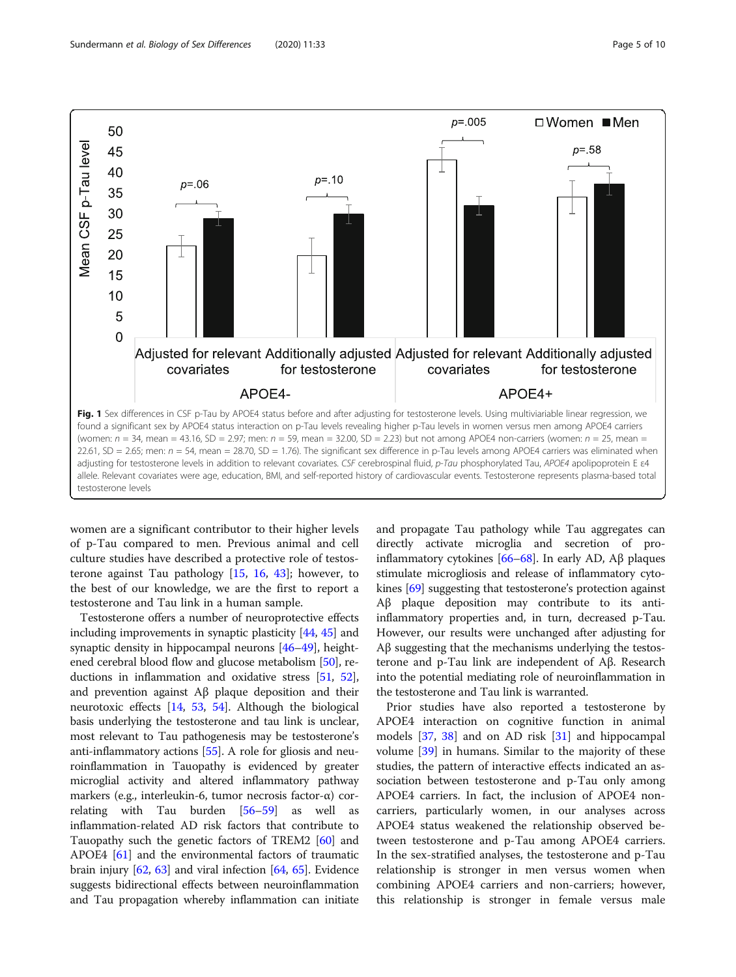<span id="page-4-0"></span>

women are a significant contributor to their higher levels of p-Tau compared to men. Previous animal and cell culture studies have described a protective role of testosterone against Tau pathology [[15,](#page-8-0) [16](#page-8-0), [43\]](#page-9-0); however, to the best of our knowledge, we are the first to report a testosterone and Tau link in a human sample.

Testosterone offers a number of neuroprotective effects including improvements in synaptic plasticity [\[44,](#page-9-0) [45\]](#page-9-0) and synaptic density in hippocampal neurons [[46](#page-9-0)–[49\]](#page-9-0), heightened cerebral blood flow and glucose metabolism [\[50](#page-9-0)], reductions in inflammation and oxidative stress [[51](#page-9-0), [52](#page-9-0)], and prevention against Aβ plaque deposition and their neurotoxic effects [\[14,](#page-8-0) [53,](#page-9-0) [54\]](#page-9-0). Although the biological basis underlying the testosterone and tau link is unclear, most relevant to Tau pathogenesis may be testosterone's anti-inflammatory actions [[55](#page-9-0)]. A role for gliosis and neuroinflammation in Tauopathy is evidenced by greater microglial activity and altered inflammatory pathway markers (e.g., interleukin-6, tumor necrosis factor-α) correlating with Tau burden [[56](#page-9-0)–[59\]](#page-9-0) as well as inflammation-related AD risk factors that contribute to Tauopathy such the genetic factors of TREM2 [[60](#page-9-0)] and APOE4 [\[61\]](#page-9-0) and the environmental factors of traumatic brain injury  $[62, 63]$  $[62, 63]$  $[62, 63]$  $[62, 63]$  and viral infection  $[64, 65]$  $[64, 65]$  $[64, 65]$  $[64, 65]$  $[64, 65]$ . Evidence suggests bidirectional effects between neuroinflammation and Tau propagation whereby inflammation can initiate and propagate Tau pathology while Tau aggregates can directly activate microglia and secretion of proinflammatory cytokines [[66](#page-9-0)–[68\]](#page-9-0). In early AD, Aβ plaques stimulate microgliosis and release of inflammatory cytokines [\[69\]](#page-9-0) suggesting that testosterone's protection against Aβ plaque deposition may contribute to its antiinflammatory properties and, in turn, decreased p-Tau. However, our results were unchanged after adjusting for Aβ suggesting that the mechanisms underlying the testosterone and p-Tau link are independent of Aβ. Research into the potential mediating role of neuroinflammation in the testosterone and Tau link is warranted.

Prior studies have also reported a testosterone by APOE4 interaction on cognitive function in animal models [\[37](#page-9-0), [38](#page-9-0)] and on AD risk [[31](#page-8-0)] and hippocampal volume [[39](#page-9-0)] in humans. Similar to the majority of these studies, the pattern of interactive effects indicated an association between testosterone and p-Tau only among APOE4 carriers. In fact, the inclusion of APOE4 noncarriers, particularly women, in our analyses across APOE4 status weakened the relationship observed between testosterone and p-Tau among APOE4 carriers. In the sex-stratified analyses, the testosterone and p-Tau relationship is stronger in men versus women when combining APOE4 carriers and non-carriers; however, this relationship is stronger in female versus male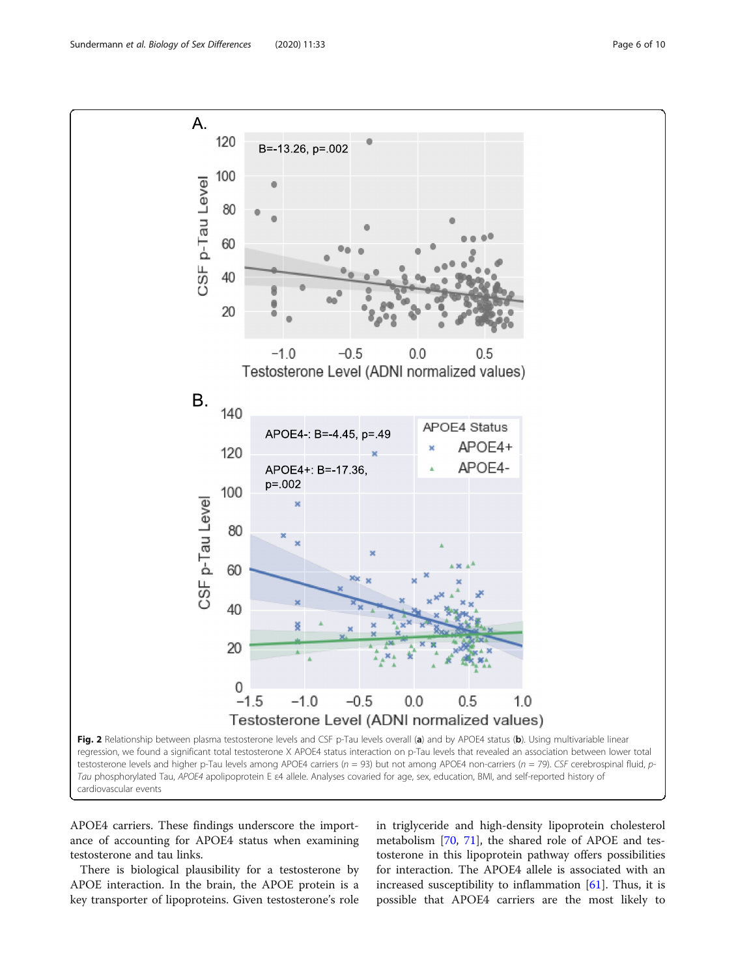<span id="page-5-0"></span>

APOE4 carriers. These findings underscore the importance of accounting for APOE4 status when examining testosterone and tau links.

There is biological plausibility for a testosterone by APOE interaction. In the brain, the APOE protein is a key transporter of lipoproteins. Given testosterone's role

in triglyceride and high-density lipoprotein cholesterol metabolism [\[70](#page-9-0), [71](#page-9-0)], the shared role of APOE and testosterone in this lipoprotein pathway offers possibilities for interaction. The APOE4 allele is associated with an increased susceptibility to inflammation  $[61]$ . Thus, it is possible that APOE4 carriers are the most likely to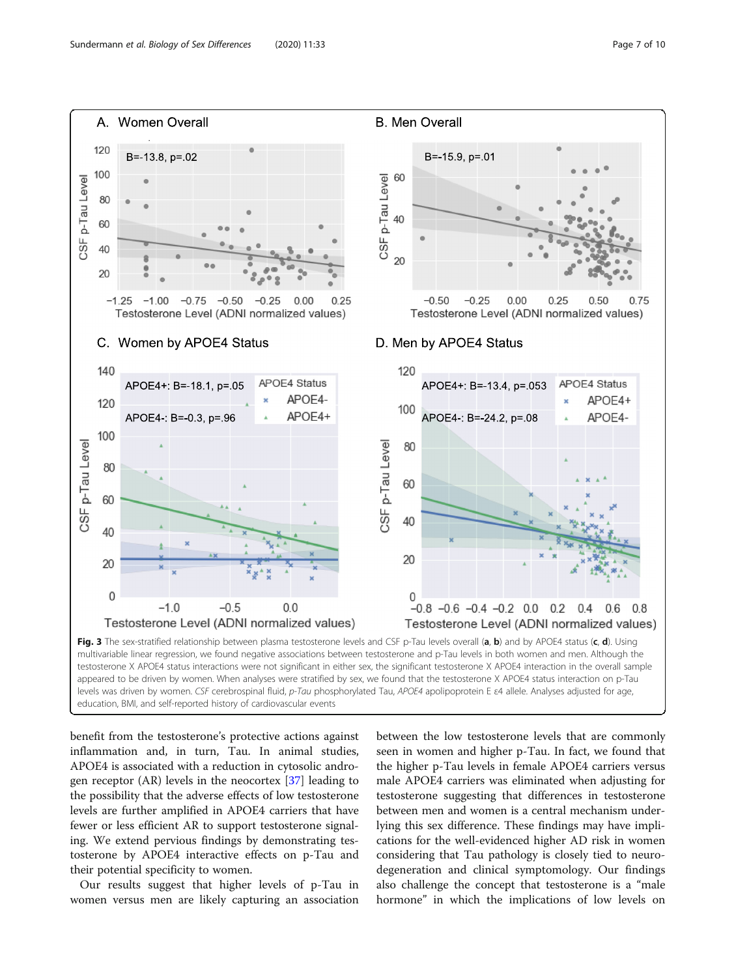<span id="page-6-0"></span>

benefit from the testosterone's protective actions against inflammation and, in turn, Tau. In animal studies, APOE4 is associated with a reduction in cytosolic androgen receptor (AR) levels in the neocortex [[37](#page-9-0)] leading to the possibility that the adverse effects of low testosterone levels are further amplified in APOE4 carriers that have fewer or less efficient AR to support testosterone signaling. We extend pervious findings by demonstrating testosterone by APOE4 interactive effects on p-Tau and their potential specificity to women.

Our results suggest that higher levels of p-Tau in women versus men are likely capturing an association

between the low testosterone levels that are commonly seen in women and higher p-Tau. In fact, we found that the higher p-Tau levels in female APOE4 carriers versus male APOE4 carriers was eliminated when adjusting for testosterone suggesting that differences in testosterone between men and women is a central mechanism underlying this sex difference. These findings may have implications for the well-evidenced higher AD risk in women considering that Tau pathology is closely tied to neurodegeneration and clinical symptomology. Our findings also challenge the concept that testosterone is a "male hormone" in which the implications of low levels on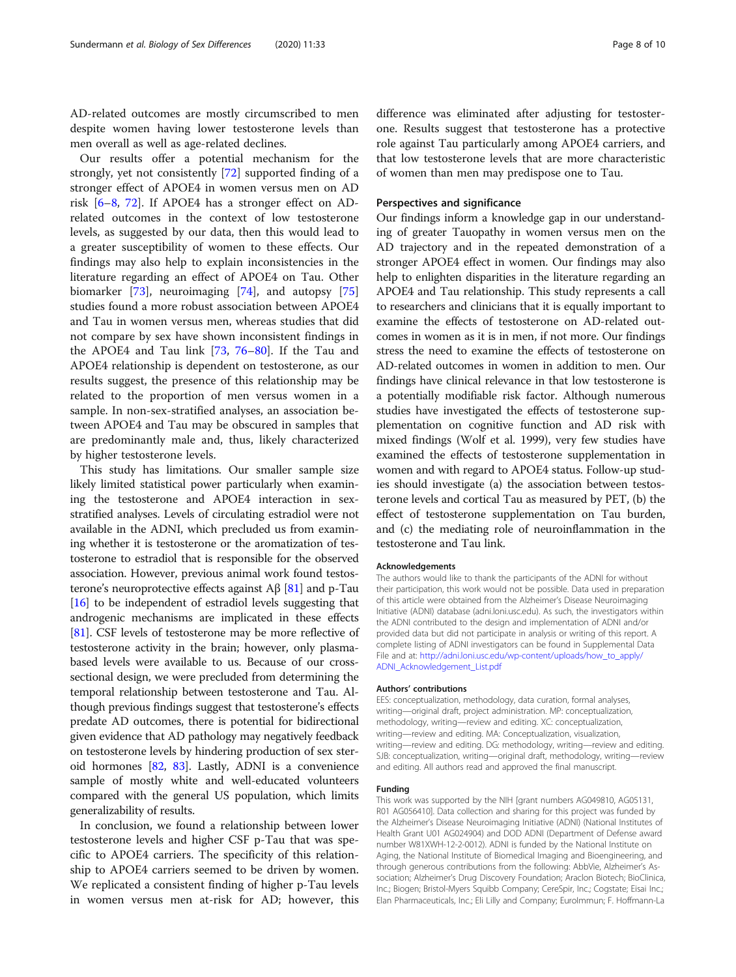AD-related outcomes are mostly circumscribed to men despite women having lower testosterone levels than men overall as well as age-related declines.

Our results offer a potential mechanism for the strongly, yet not consistently [[72\]](#page-9-0) supported finding of a stronger effect of APOE4 in women versus men on AD risk [\[6](#page-8-0)–[8,](#page-8-0) [72](#page-9-0)]. If APOE4 has a stronger effect on ADrelated outcomes in the context of low testosterone levels, as suggested by our data, then this would lead to a greater susceptibility of women to these effects. Our findings may also help to explain inconsistencies in the literature regarding an effect of APOE4 on Tau. Other biomarker [[73\]](#page-9-0), neuroimaging [[74\]](#page-9-0), and autopsy [[75](#page-9-0)] studies found a more robust association between APOE4 and Tau in women versus men, whereas studies that did not compare by sex have shown inconsistent findings in the APOE4 and Tau link [[73,](#page-9-0) [76](#page-9-0)–[80\]](#page-9-0). If the Tau and APOE4 relationship is dependent on testosterone, as our results suggest, the presence of this relationship may be related to the proportion of men versus women in a sample. In non-sex-stratified analyses, an association between APOE4 and Tau may be obscured in samples that are predominantly male and, thus, likely characterized by higher testosterone levels.

This study has limitations. Our smaller sample size likely limited statistical power particularly when examining the testosterone and APOE4 interaction in sexstratified analyses. Levels of circulating estradiol were not available in the ADNI, which precluded us from examining whether it is testosterone or the aromatization of testosterone to estradiol that is responsible for the observed association. However, previous animal work found testosterone's neuroprotective effects against  $\text{A}\beta$  [[81](#page-9-0)] and p-Tau [[16](#page-8-0)] to be independent of estradiol levels suggesting that androgenic mechanisms are implicated in these effects [[81](#page-9-0)]. CSF levels of testosterone may be more reflective of testosterone activity in the brain; however, only plasmabased levels were available to us. Because of our crosssectional design, we were precluded from determining the temporal relationship between testosterone and Tau. Although previous findings suggest that testosterone's effects predate AD outcomes, there is potential for bidirectional given evidence that AD pathology may negatively feedback on testosterone levels by hindering production of sex steroid hormones [\[82,](#page-9-0) [83\]](#page-9-0). Lastly, ADNI is a convenience sample of mostly white and well-educated volunteers compared with the general US population, which limits generalizability of results.

In conclusion, we found a relationship between lower testosterone levels and higher CSF p-Tau that was specific to APOE4 carriers. The specificity of this relationship to APOE4 carriers seemed to be driven by women. We replicated a consistent finding of higher p-Tau levels in women versus men at-risk for AD; however, this difference was eliminated after adjusting for testosterone. Results suggest that testosterone has a protective role against Tau particularly among APOE4 carriers, and that low testosterone levels that are more characteristic of women than men may predispose one to Tau.

## Perspectives and significance

Our findings inform a knowledge gap in our understanding of greater Tauopathy in women versus men on the AD trajectory and in the repeated demonstration of a stronger APOE4 effect in women. Our findings may also help to enlighten disparities in the literature regarding an APOE4 and Tau relationship. This study represents a call to researchers and clinicians that it is equally important to examine the effects of testosterone on AD-related outcomes in women as it is in men, if not more. Our findings stress the need to examine the effects of testosterone on AD-related outcomes in women in addition to men. Our findings have clinical relevance in that low testosterone is a potentially modifiable risk factor. Although numerous studies have investigated the effects of testosterone supplementation on cognitive function and AD risk with mixed findings (Wolf et al. 1999), very few studies have examined the effects of testosterone supplementation in women and with regard to APOE4 status. Follow-up studies should investigate (a) the association between testosterone levels and cortical Tau as measured by PET, (b) the effect of testosterone supplementation on Tau burden, and (c) the mediating role of neuroinflammation in the testosterone and Tau link.

#### Acknowledgements

The authors would like to thank the participants of the ADNI for without their participation, this work would not be possible. Data used in preparation of this article were obtained from the Alzheimer's Disease Neuroimaging Initiative (ADNI) database (adni.loni.usc.edu). As such, the investigators within the ADNI contributed to the design and implementation of ADNI and/or provided data but did not participate in analysis or writing of this report. A complete listing of ADNI investigators can be found in Supplemental Data File and at: [http://adni.loni.usc.edu/wp-content/uploads/how\\_to\\_apply/](http://adni.loni.usc.edu/wp-content/uploads/how_to_apply/ADNI_Acknowledgement_List.pdf) [ADNI\\_Acknowledgement\\_List.pdf](http://adni.loni.usc.edu/wp-content/uploads/how_to_apply/ADNI_Acknowledgement_List.pdf)

#### Authors' contributions

EES: conceptualization, methodology, data curation, formal analyses, writing—original draft, project administration. MP: conceptualization, methodology, writing—review and editing. XC: conceptualization, writing—review and editing. MA: Conceptualization, visualization, writing—review and editing. DG: methodology, writing—review and editing. SJB: conceptualization, writing—original draft, methodology, writing—review and editing. All authors read and approved the final manuscript.

#### Funding

This work was supported by the NIH [grant numbers AG049810, AG05131, R01 AG056410]. Data collection and sharing for this project was funded by the Alzheimer's Disease Neuroimaging Initiative (ADNI) (National Institutes of Health Grant U01 AG024904) and DOD ADNI (Department of Defense award number W81XWH-12-2-0012). ADNI is funded by the National Institute on Aging, the National Institute of Biomedical Imaging and Bioengineering, and through generous contributions from the following: AbbVie, Alzheimer's Association; Alzheimer's Drug Discovery Foundation; Araclon Biotech; BioClinica, Inc.; Biogen; Bristol-Myers Squibb Company; CereSpir, Inc.; Cogstate; Eisai Inc.; Elan Pharmaceuticals, Inc.; Eli Lilly and Company; EuroImmun; F. Hoffmann-La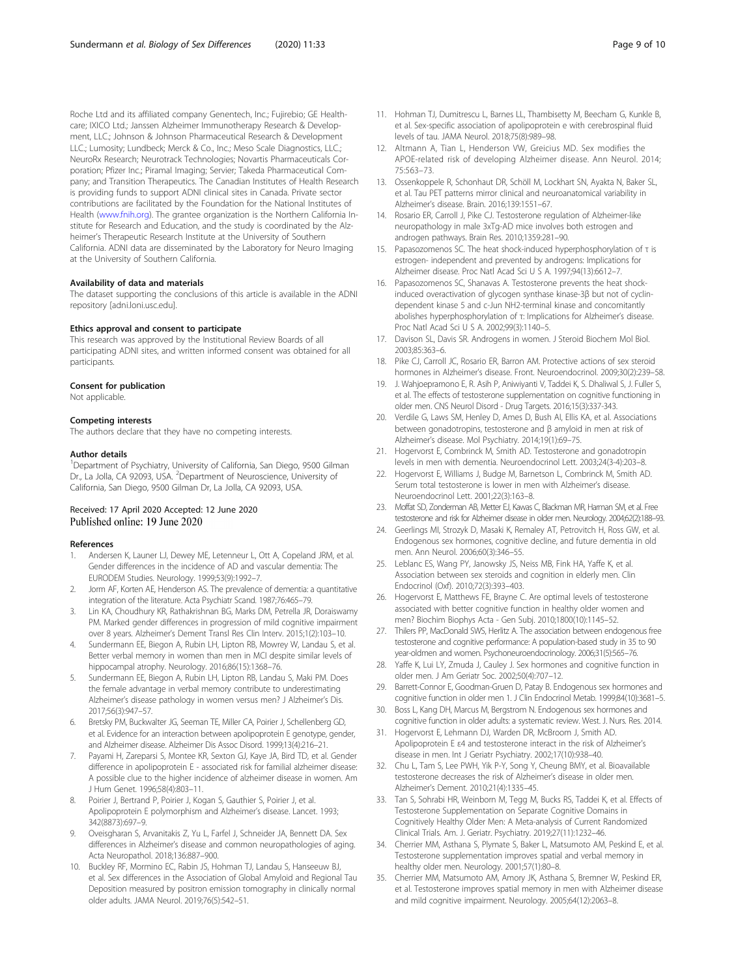<span id="page-8-0"></span>Roche Ltd and its affiliated company Genentech, Inc.; Fujirebio; GE Healthcare; IXICO Ltd.; Janssen Alzheimer Immunotherapy Research & Development, LLC.; Johnson & Johnson Pharmaceutical Research & Development LLC.; Lumosity; Lundbeck; Merck & Co., Inc.; Meso Scale Diagnostics, LLC.; NeuroRx Research; Neurotrack Technologies; Novartis Pharmaceuticals Corporation; Pfizer Inc.; Piramal Imaging; Servier; Takeda Pharmaceutical Company; and Transition Therapeutics. The Canadian Institutes of Health Research is providing funds to support ADNI clinical sites in Canada. Private sector contributions are facilitated by the Foundation for the National Institutes of Health [\(www.fnih.org\)](http://www.fnih.org). The grantee organization is the Northern California Institute for Research and Education, and the study is coordinated by the Alzheimer's Therapeutic Research Institute at the University of Southern California. ADNI data are disseminated by the Laboratory for Neuro Imaging at the University of Southern California.

#### Availability of data and materials

The dataset supporting the conclusions of this article is available in the ADNI repository [adni.loni.usc.edu].

### Ethics approval and consent to participate

This research was approved by the Institutional Review Boards of all participating ADNI sites, and written informed consent was obtained for all participants.

#### Consent for publication

Not applicable.

#### Competing interests

The authors declare that they have no competing interests.

#### Author details

<sup>1</sup>Department of Psychiatry, University of California, San Diego, 9500 Gilman Dr., La Jolla, CA 92093, USA. <sup>2</sup>Department of Neuroscience, University of California, San Diego, 9500 Gilman Dr, La Jolla, CA 92093, USA.

# Received: 17 April 2020 Accepted: 12 June 2020 Published online: 19 June 2020

#### References

- 1. Andersen K, Launer LJ, Dewey ME, Letenneur L, Ott A, Copeland JRM, et al. Gender differences in the incidence of AD and vascular dementia: The EURODEM Studies. Neurology. 1999;53(9):1992–7.
- 2. Jorm AF, Korten AE, Henderson AS. The prevalence of dementia: a quantitative integration of the literature. Acta Psychiatr Scand. 1987;76:465–79.
- 3. Lin KA, Choudhury KR, Rathakrishnan BG, Marks DM, Petrella JR, Doraiswamy PM. Marked gender differences in progression of mild cognitive impairment over 8 years. Alzheimer's Dement Transl Res Clin Interv. 2015;1(2):103–10.
- Sundermann EE, Biegon A, Rubin LH, Lipton RB, Mowrey W, Landau S, et al. Better verbal memory in women than men in MCI despite similar levels of hippocampal atrophy. Neurology. 2016;86(15):1368–76.
- 5. Sundermann EE, Biegon A, Rubin LH, Lipton RB, Landau S, Maki PM. Does the female advantage in verbal memory contribute to underestimating Alzheimer's disease pathology in women versus men? J Alzheimer's Dis. 2017;56(3):947–57.
- 6. Bretsky PM, Buckwalter JG, Seeman TE, Miller CA, Poirier J, Schellenberg GD, et al. Evidence for an interaction between apolipoprotein E genotype, gender, and Alzheimer disease. Alzheimer Dis Assoc Disord. 1999;13(4):216–21.
- 7. Payami H, Zareparsi S, Montee KR, Sexton GJ, Kaye JA, Bird TD, et al. Gender difference in apolipoprotein E - associated risk for familial alzheimer disease: A possible clue to the higher incidence of alzheimer disease in women. Am J Hum Genet. 1996;58(4):803–11.
- Poirier J, Bertrand P, Poirier J, Kogan S, Gauthier S, Poirier J, et al. Apolipoprotein E polymorphism and Alzheimer's disease. Lancet. 1993; 342(8873):697–9.
- 9. Oveisgharan S, Arvanitakis Z, Yu L, Farfel J, Schneider JA, Bennett DA. Sex differences in Alzheimer's disease and common neuropathologies of aging. Acta Neuropathol. 2018;136:887–900.
- 10. Buckley RF, Mormino EC, Rabin JS, Hohman TJ, Landau S, Hanseeuw BJ, et al. Sex differences in the Association of Global Amyloid and Regional Tau Deposition measured by positron emission tomography in clinically normal older adults. JAMA Neurol. 2019;76(5):542–51.
- 11. Hohman TJ, Dumitrescu L, Barnes LL, Thambisetty M, Beecham G, Kunkle B, et al. Sex-specific association of apolipoprotein e with cerebrospinal fluid levels of tau. JAMA Neurol. 2018;75(8):989–98.
- 12. Altmann A, Tian L, Henderson VW, Greicius MD. Sex modifies the APOE-related risk of developing Alzheimer disease. Ann Neurol. 2014; 75:563–73.
- 13. Ossenkoppele R, Schonhaut DR, Schöll M, Lockhart SN, Ayakta N, Baker SL, et al. Tau PET patterns mirror clinical and neuroanatomical variability in Alzheimer's disease. Brain. 2016;139:1551–67.
- 14. Rosario ER, Carroll J, Pike CJ. Testosterone regulation of Alzheimer-like neuropathology in male 3xTg-AD mice involves both estrogen and androgen pathways. Brain Res. 2010;1359:281–90.
- 15. Papasozomenos SC. The heat shock-induced hyperphosphorylation of τ is estrogen- independent and prevented by androgens: Implications for Alzheimer disease. Proc Natl Acad Sci U S A. 1997;94(13):6612–7.
- 16. Papasozomenos SC, Shanavas A. Testosterone prevents the heat shockinduced overactivation of glycogen synthase kinase-3β but not of cyclindependent kinase 5 and c-Jun NH2-terminal kinase and concomitantly abolishes hyperphosphorylation of τ: Implications for Alzheimer's disease. Proc Natl Acad Sci U S A. 2002;99(3):1140–5.
- 17. Davison SL, Davis SR. Androgens in women. J Steroid Biochem Mol Biol. 2003;85:363–6.
- 18. Pike CJ, Carroll JC, Rosario ER, Barron AM. Protective actions of sex steroid hormones in Alzheimer's disease. Front. Neuroendocrinol. 2009;30(2):239–58.
- 19. J. Wahjoepramono E, R. Asih P, Aniwiyanti V, Taddei K, S. Dhaliwal S, J. Fuller S, et al. The effects of testosterone supplementation on cognitive functioning in older men. CNS Neurol Disord - Drug Targets. 2016;15(3):337-343.
- 20. Verdile G, Laws SM, Henley D, Ames D, Bush AI, Ellis KA, et al. Associations between gonadotropins, testosterone and β amyloid in men at risk of Alzheimer's disease. Mol Psychiatry. 2014;19(1):69–75.
- 21. Hogervorst E, Combrinck M, Smith AD. Testosterone and gonadotropin levels in men with dementia. Neuroendocrinol Lett. 2003;24(3-4):203–8.
- 22. Hogervorst E, Williams J, Budge M, Barnetson L, Combrinck M, Smith AD. Serum total testosterone is lower in men with Alzheimer's disease. Neuroendocrinol Lett. 2001;22(3):163–8.
- 23. Moffat SD, Zonderman AB, Metter EJ, Kawas C, Blackman MR, Harman SM, et al. Free testosterone and risk for Alzheimer disease in older men. Neurology. 2004;62(2):188–93.
- 24. Geerlings MI, Strozyk D, Masaki K, Remaley AT, Petrovitch H, Ross GW, et al. Endogenous sex hormones, cognitive decline, and future dementia in old men. Ann Neurol. 2006;60(3):346–55.
- 25. Leblanc ES, Wang PY, Janowsky JS, Neiss MB, Fink HA, Yaffe K, et al. Association between sex steroids and cognition in elderly men. Clin Endocrinol (Oxf). 2010;72(3):393–403.
- 26. Hogervorst E, Matthews FE, Brayne C. Are optimal levels of testosterone associated with better cognitive function in healthy older women and men? Biochim Biophys Acta - Gen Subj. 2010;1800(10):1145–52.
- 27. Thilers PP, MacDonald SWS, Herlitz A. The association between endogenous free testosterone and cognitive performance: A population-based study in 35 to 90 year-oldmen and women. Psychoneuroendocrinology. 2006;31(5):565–76.
- 28. Yaffe K, Lui LY, Zmuda J, Cauley J. Sex hormones and cognitive function in older men. J Am Geriatr Soc. 2002;50(4):707–12.
- 29. Barrett-Connor E, Goodman-Gruen D, Patay B. Endogenous sex hormones and cognitive function in older men 1. J Clin Endocrinol Metab. 1999;84(10):3681–5.
- 30. Boss L, Kang DH, Marcus M, Bergstrom N. Endogenous sex hormones and cognitive function in older adults: a systematic review. West. J. Nurs. Res. 2014.
- 31. Hogervorst E, Lehmann DJ, Warden DR, McBroom J, Smith AD. Apolipoprotein E ε4 and testosterone interact in the risk of Alzheimer's disease in men. Int J Geriatr Psychiatry. 2002;17(10):938–40.
- 32. Chu L, Tam S, Lee PWH, Yik P-Y, Song Y, Cheung BMY, et al. Bioavailable testosterone decreases the risk of Alzheimer's disease in older men. Alzheimer's Dement. 2010;21(4):1335–45.
- 33. Tan S, Sohrabi HR, Weinborn M, Tegg M, Bucks RS, Taddei K, et al. Effects of Testosterone Supplementation on Separate Cognitive Domains in Cognitively Healthy Older Men: A Meta-analysis of Current Randomized Clinical Trials. Am. J. Geriatr. Psychiatry. 2019;27(11):1232–46.
- 34. Cherrier MM, Asthana S, Plymate S, Baker L, Matsumoto AM, Peskind E, et al. Testosterone supplementation improves spatial and verbal memory in healthy older men. Neurology. 2001;57(1):80–8.
- 35. Cherrier MM, Matsumoto AM, Amory JK, Asthana S, Bremner W, Peskind ER, et al. Testosterone improves spatial memory in men with Alzheimer disease and mild cognitive impairment. Neurology. 2005;64(12):2063–8.